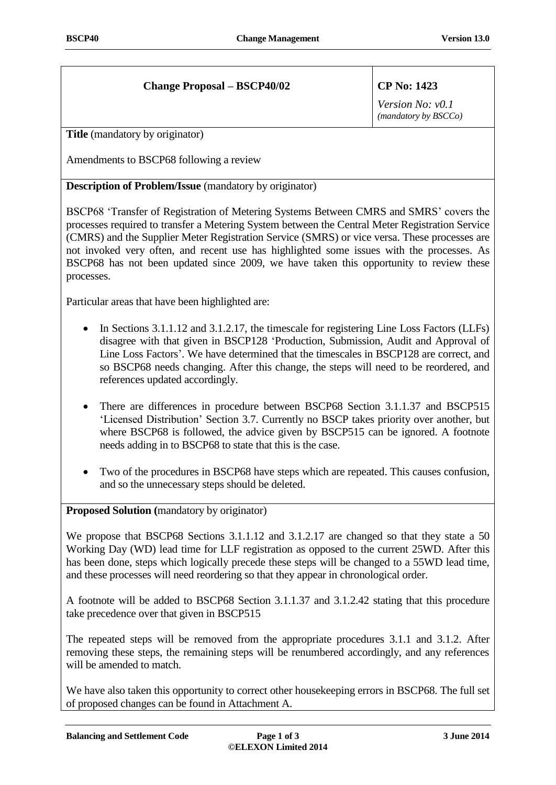## **Change Proposal – BSCP40/02 CP No: 1423**

*Version No: v0.1 (mandatory by BSCCo)*

**Title** (mandatory by originator)

Amendments to BSCP68 following a review

**Description of Problem/Issue** (mandatory by originator)

BSCP68 'Transfer of Registration of Metering Systems Between CMRS and SMRS' covers the processes required to transfer a Metering System between the Central Meter Registration Service (CMRS) and the Supplier Meter Registration Service (SMRS) or vice versa. These processes are not invoked very often, and recent use has highlighted some issues with the processes. As BSCP68 has not been updated since 2009, we have taken this opportunity to review these processes.

Particular areas that have been highlighted are:

- In Sections 3.1.1.12 and 3.1.2.17, the timescale for registering Line Loss Factors (LLFs) disagree with that given in BSCP128 'Production, Submission, Audit and Approval of Line Loss Factors'. We have determined that the timescales in BSCP128 are correct, and so BSCP68 needs changing. After this change, the steps will need to be reordered, and references updated accordingly.
- There are differences in procedure between BSCP68 Section 3.1.1.37 and BSCP515 'Licensed Distribution' Section 3.7. Currently no BSCP takes priority over another, but where BSCP68 is followed, the advice given by BSCP515 can be ignored. A footnote needs adding in to BSCP68 to state that this is the case.
- Two of the procedures in BSCP68 have steps which are repeated. This causes confusion, and so the unnecessary steps should be deleted.

**Proposed Solution (**mandatory by originator)

We propose that BSCP68 Sections 3.1.1.12 and 3.1.2.17 are changed so that they state a 50 Working Day (WD) lead time for LLF registration as opposed to the current 25WD. After this has been done, steps which logically precede these steps will be changed to a 55WD lead time, and these processes will need reordering so that they appear in chronological order.

A footnote will be added to BSCP68 Section 3.1.1.37 and 3.1.2.42 stating that this procedure take precedence over that given in BSCP515

The repeated steps will be removed from the appropriate procedures 3.1.1 and 3.1.2. After removing these steps, the remaining steps will be renumbered accordingly, and any references will be amended to match.

We have also taken this opportunity to correct other housekeeping errors in BSCP68. The full set of proposed changes can be found in Attachment A.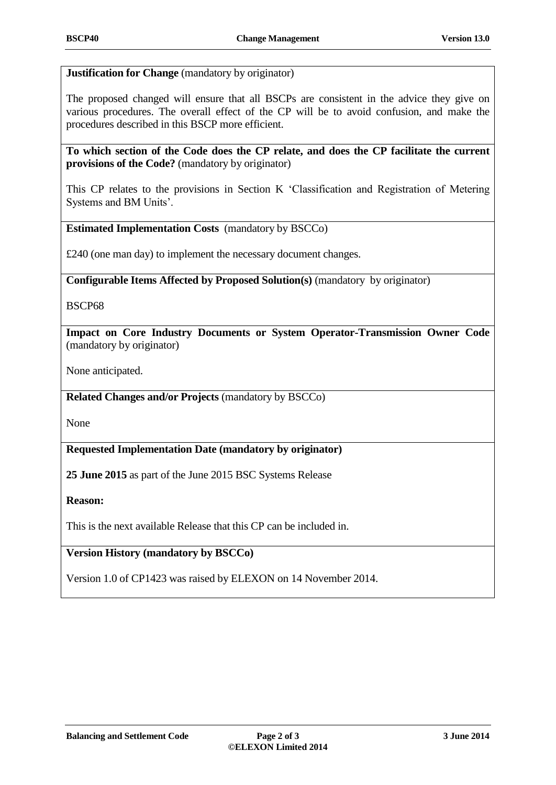**Justification for Change** (mandatory by originator)

The proposed changed will ensure that all BSCPs are consistent in the advice they give on various procedures. The overall effect of the CP will be to avoid confusion, and make the procedures described in this BSCP more efficient.

**To which section of the Code does the CP relate, and does the CP facilitate the current provisions of the Code?** (mandatory by originator)

This CP relates to the provisions in Section K 'Classification and Registration of Metering Systems and BM Units'.

**Estimated Implementation Costs** (mandatory by BSCCo)

£240 (one man day) to implement the necessary document changes.

**Configurable Items Affected by Proposed Solution(s)** (mandatory by originator)

BSCP68

**Impact on Core Industry Documents or System Operator-Transmission Owner Code**  (mandatory by originator)

None anticipated.

**Related Changes and/or Projects** (mandatory by BSCCo)

None

**Requested Implementation Date (mandatory by originator)**

**25 June 2015** as part of the June 2015 BSC Systems Release

**Reason:**

This is the next available Release that this CP can be included in.

**Version History (mandatory by BSCCo)**

Version 1.0 of CP1423 was raised by ELEXON on 14 November 2014.